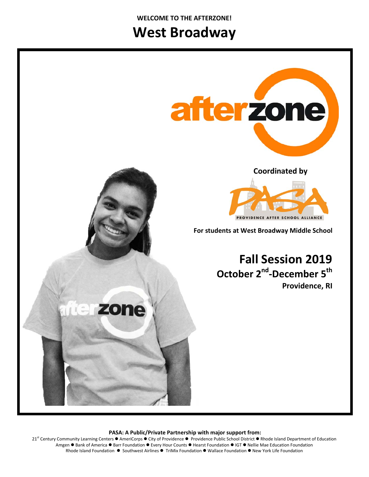#### **WELCOME TO THE AFTERZONE!**

## **West Broadway**



**PASA: A Public/Private Partnership with major support from:**

21<sup>st</sup> Century Community Learning Centers ● AmeriCorps ● City of Providence ● Providence Public School District ● Rhode Island Department of Education Amgen . Bank of America . Barr Foundation . Every Hour Counts . Hearst Foundation . IGT . Nellie Mae Education Foundation Rhode Island Foundation ● Southwest Airlines ● TriMix Foundation ● Wallace Foundation ● New York Life Foundation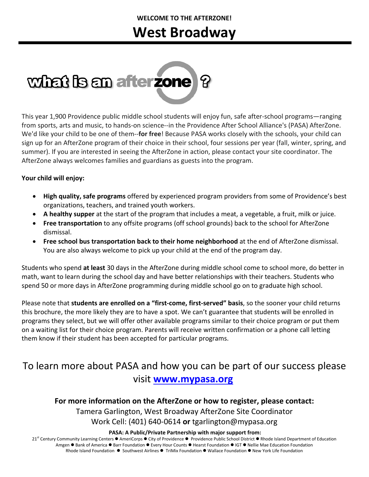### **WELCOME TO THE AFTERZONE!**

## **West Broadway**

# what is an after zone

This year 1,900 Providence public middle school students will enjoy fun, safe after-school programs—ranging from sports, arts and music, to hands-on science--in the Providence After School Alliance's (PASA) AfterZone. We'd like your child to be one of them--**for free**! Because PASA works closely with the schools, your child can sign up for an AfterZone program of their choice in their school, four sessions per year (fall, winter, spring, and summer). If you are interested in seeing the AfterZone in action, please contact your site coordinator. The AfterZone always welcomes families and guardians as guests into the program.

### **Your child will enjoy:**

- **High quality, safe programs** offered by experienced program providers from some of Providence's best organizations, teachers, and trained youth workers.
- **A healthy supper** at the start of the program that includes a meat, a vegetable, a fruit, milk or juice.
- **Free transportation** to any offsite programs (off school grounds) back to the school for AfterZone dismissal.
- **Free school bus transportation back to their home neighborhood** at the end of AfterZone dismissal. You are also always welcome to pick up your child at the end of the program day.

Students who spend **at least** 30 days in the AfterZone during middle school come to school more, do better in math, want to learn during the school day and have better relationships with their teachers. Students who spend 50 or more days in AfterZone programming during middle school go on to graduate high school.

Please note that **students are enrolled on a "first-come, first-served" basis**, so the sooner your child returns this brochure, the more likely they are to have a spot. We can't guarantee that students will be enrolled in programs they select, but we will offer other available programs similar to their choice program or put them on a waiting list for their choice program. Parents will receive written confirmation or a phone call letting them know if their student has been accepted for particular programs.

### To learn more about PASA and how you can be part of our success please visit **[www.mypasa.org](http://www.mypasa.org/)**

### **For more information on the AfterZone or how to register, please contact:** Tamera Garlington, West Broadway AfterZone Site Coordinator Work Cell: (401) 640-0614 **or** tgarlington@mypasa.org

#### **PASA: A Public/Private Partnership with major support from:**

21<sup>st</sup> Century Community Learning Centers ● AmeriCorps ● City of Providence ● Providence Public School District ● Rhode Island Department of Education Amgen . Bank of America . Barr Foundation . Every Hour Counts . Hearst Foundation . IGT . Nellie Mae Education Foundation Rhode Island Foundation  $\bullet$  Southwest Airlines  $\bullet$  TriMix Foundation  $\bullet$  Wallace Foundation  $\bullet$  New York Life Foundation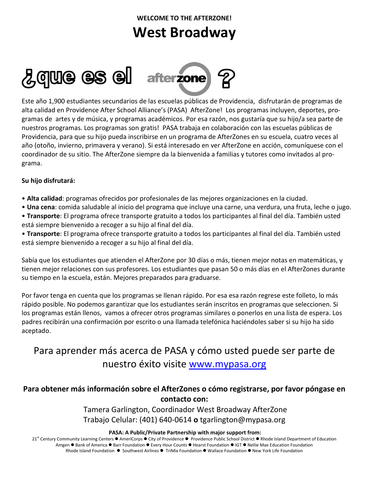**WELCOME TO THE AFTERZONE!**

## **West Broadway**

### ue es el  $\overline{\mathbf{Q}}$ **afterzone**

Este año 1,900 estudiantes secundarios de las escuelas públicas de Providencia, disfrutarán de programas de alta calidad en Providence After School Alliance's (PASA) AfterZone! Los programas incluyen, deportes, programas de artes y de música, y programas académicos. Por esa razón, nos gustaría que su hijo/a sea parte de nuestros programas. Los programas son gratis! PASA trabaja en colaboración con las escuelas públicas de Providencia, para que su hijo pueda inscribirse en un programa de AfterZones en su escuela, cuatro veces al año (otoño, invierno, primavera y verano). Si está interesado en ver AfterZone en acción, comuníquese con el coordinador de su sitio. The AfterZone siempre da la bienvenida a familias y tutores como invitados al programa.

### **Su hijo disfrutará:**

- **Alta calidad**: programas ofrecidos por profesionales de las mejores organizaciones en la ciudad.
- **Una cena**: comida saludable al inicio del programa que incluye una carne, una verdura, una fruta, leche o jugo.
- **Transporte**: El programa ofrece transporte gratuito a todos los participantes al final del día. También usted está siempre bienvenido a recoger a su hijo al final del día.

• **Transporte**: El programa ofrece transporte gratuito a todos los participantes al final del día. También usted está siempre bienvenido a recoger a su hijo al final del día.

Sabía que los estudiantes que atienden el AfterZone por 30 días o más, tienen mejor notas en matemáticas, y tienen mejor relaciones con sus profesores. Los estudiantes que pasan 50 o más días en el AfterZones durante su tiempo en la escuela, están. Mejores preparados para graduarse.

Por favor tenga en cuenta que los programas se llenan rápido. Por esa esa razón regrese este folleto, lo más rápido posible. No podemos garantizar que los estudiantes serán inscritos en programas que seleccionen. Si los programas están llenos, vamos a ofrecer otros programas similares o ponerlos en una lista de espera. Los padres recibirán una confirmación por escrito o una llamada telefónica haciéndoles saber si su hijo ha sido aceptado.

### Para aprender más acerca de PASA y cómo usted puede ser parte de nuestro éxito visite [www.mypasa.org](http://www.mypasa.org/)

### **Para obtener más información sobre el AfterZones o cómo registrarse, por favor póngase en contacto con:**

Tamera Garlington, Coordinador West Broadway AfterZone Trabajo Celular: (401) 640-0614 **o** tgarlington@mypasa.org

**PASA: A Public/Private Partnership with major support from:**

21<sup>st</sup> Century Community Learning Centers ● AmeriCorps ● City of Providence ● Providence Public School District ● Rhode Island Department of Education Amgen . Bank of America . Barr Foundation . Every Hour Counts . Hearst Foundation . IGT . Nellie Mae Education Foundation Rhode Island Foundation  $\bullet$  Southwest Airlines  $\bullet$  TriMix Foundation  $\bullet$  Wallace Foundation  $\bullet$  New York Life Foundation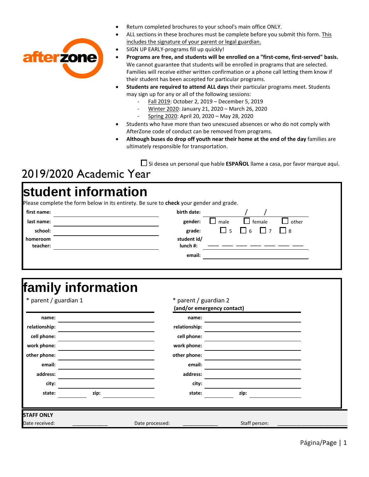

- Return completed brochures to your school's main office ONLY.
- ALL sections in these brochures must be complete before you submit this form. This includes the signature of your parent or legal guardian.
	- SIGN UP EARLY-programs fill up quickly!
- **Programs are free, and students will be enrolled on a "first-come, first-served" basis.** We cannot guarantee that students will be enrolled in programs that are selected. Families will receive either written confirmation or a phone call letting them know if their student has been accepted for particular programs.
- **Students are required to attend ALL days** their particular programs meet. Students may sign up for any or all of the following sessions:
	- Fall 2019 : October 2, 2019 December 5, 2019
	- Winter 2020 : January 21, 2020 – March 26, 2020
	- Spring 2020: April 20, 2020 - May 28, 2020
- Students who have more than two unexcused absences or who do not comply with AfterZone code of conduct can be removed from programs.
- **Although buses do drop off youth near their home at the end of the day** families are ultimately responsible for transportation.

Si desea un personal que hable **ESPAÑOL** llame a casa, por favor marque aquí.

### 2019/2020 Academic Year

## **student information**

Please complete the form below in its entirety. Be sure to **check** your gender and grade.

| first name: | birth date: |      |                                     |                   |
|-------------|-------------|------|-------------------------------------|-------------------|
| last name:  | gender:     | male | $\Box$ female                       | $\mathsf I$ other |
| school:     | grade:      |      | $\Box$ 5 $\Box$ 6 $\Box$ 7 $\Box$ 8 |                   |
| homeroom    | student id/ |      |                                     |                   |
| teacher:    | $lunch$ #:  |      |                                     |                   |
|             | email:      |      |                                     |                   |

## **family information**

| * parent / guardian 1 |      |                 | * parent / guardian 2<br>(and/or emergency contact) |               |  |
|-----------------------|------|-----------------|-----------------------------------------------------|---------------|--|
| name:                 |      |                 | name:                                               |               |  |
| relationship:         |      |                 | relationship:                                       |               |  |
| cell phone:           |      |                 | cell phone:                                         |               |  |
| work phone:           |      |                 | work phone:                                         |               |  |
| other phone:          |      |                 | other phone:                                        |               |  |
| email:                |      |                 | email:                                              |               |  |
| address:              |      |                 | address:                                            |               |  |
| city:                 |      |                 | city:                                               |               |  |
| state:                | zip: |                 | state:                                              | zip:          |  |
| <b>STAFF ONLY</b>     |      |                 |                                                     |               |  |
| Date received:        |      | Date processed: |                                                     | Staff person: |  |

Página/Page | 1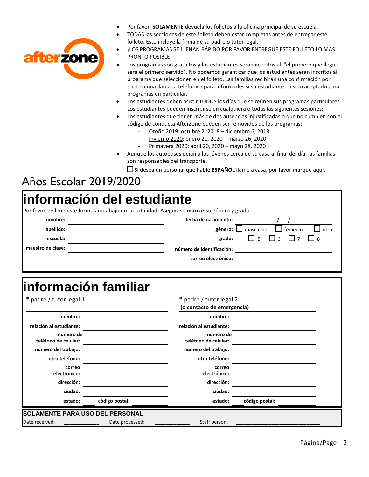

- Por favor **SOLAMENTE** devuela los folletos a la oficina principal de su escuela.
- TODAS las secciones de este folleto deben estar completas antes de entregar este folleto. Esto incluye la firma de su padre o tutor legal.
	- ¡LOS PROGRAMAS SE LLENAN RÁPIDO POR FAVOR ENTREGUE ESTE FOLLETO LO MÁS PRONTO POSIBLE!
- Los programas son gratuitos y los estudiantes serán inscritos al "el primero que llegue será el primero servido". No podemos garantizar que los estudiantes seran inscritos al programa que seleccionen en el folleto. Las familias recibirán una confirmación por scrito o una llamada telefónica para informarles si su estudiante ha sido aceptado para programas en particular.
- Los estudiantes deben asistir TODOS los días que se reúnen sus programas particulares. Los estudiantes pueden inscribirse en cualquiera o todas las siguientes sesiones:
- Los estudiantes que tienen más de dos ausencias injustificadas o que no cumplen con el código de conducta AfterZone pueden ser removidos de los programas:
	- Otoño 2019 : octubre 2, 2018 diciembre 6, 2018
	- Invierno 2020 : enero 21, 2020 – marzo 26, 2020
	- Primavera 2020 : abril 20, 2020 – mayo 28, 2020
- Aunque los autobuses dejan a los jóvenes cerca de su casa al final del día, las familias son responsables del transporte.

Si desea un personal que hable **ESPAÑOL** llame a casa, por favor marque aquí.

## Años Escolar 2019/2020

**correo electrónico: dirección: ciudad:** 

| linformación del estudiante |                                                                                               |
|-----------------------------|-----------------------------------------------------------------------------------------------|
|                             | Por favor, rellene este formulario abajo en su totalidad. Asegurase marcar su género y grado. |
| nombre:                     | fecha de nacimiento:                                                                          |
| apellido:                   | género: $\Box$<br>masculino<br>femenino<br>otro                                               |
| escuela:                    | $\overline{5}$<br>6<br>grado:                                                                 |
| maestro de clase:           | número de identificación:                                                                     |
|                             | correo electrónico:                                                                           |
|                             |                                                                                               |
| linformación familiar       |                                                                                               |
| * padre / tutor legal 1     | * padre / tutor legal 2                                                                       |
|                             | (o contacto de emergencia)                                                                    |
| nombre:                     | nombre:                                                                                       |
| relación al estudiante:     | relación al estudiante:                                                                       |
| numero de                   | numero de                                                                                     |
| teléfono de celular:        | teléfono de celular:                                                                          |
| numero del trabajo:         | numero del trabajo:                                                                           |
| otro teléfono:              | otro teléfono:                                                                                |

**SOLAMENTE PARA USO DEL PERSONAL** Date received: \_\_\_\_\_\_\_\_\_\_\_\_\_\_\_\_\_\_\_ Date processed: \_\_\_\_\_\_\_\_\_\_\_\_\_\_\_\_\_\_\_\_\_\_\_ Staff person:

**estado: código postal:** 

**correo electrónico: dirección: ciudad:** 

**estado: código postal:**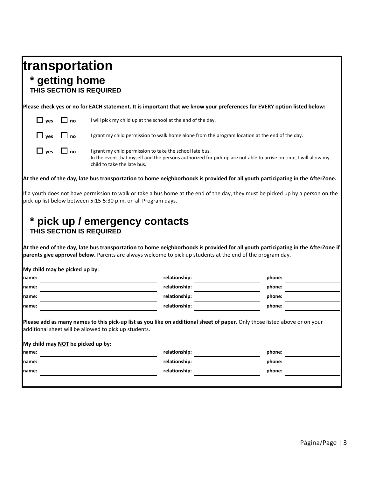## **transportation**

### **\* getting home**

**THIS SECTION IS REQUIRED**

**Please check yes or no for EACH statement. It is important that we know your preferences for EVERY option listed below:**

| $\Box$ ves           | $\Box$ no | will pick my child up at the school at the end of the day.                                                                                                                                               |
|----------------------|-----------|----------------------------------------------------------------------------------------------------------------------------------------------------------------------------------------------------------|
| $\Box$ yes $\Box$ no |           | I grant my child permission to walk home alone from the program location at the end of the day.                                                                                                          |
| $\Box$ ves $\Box$ no |           | grant my child permission to take the school late bus.<br>In the event that myself and the persons authorized for pick up are not able to arrive on time, I will allow my<br>child to take the late bus. |

**At the end of the day, late bus transportation to home neighborhoods is provided for all youth participating in the AfterZone.**

If a youth does not have permission to walk or take a bus home at the end of the day, they must be picked up by a person on the pick-up list below between 5:15-5:30 p.m. on all Program days.

### **\* pick up / emergency contacts THIS SECTION IS REQUIRED**

**At the end of the day, late bus transportation to home neighborhoods is provided for all youth participating in the AfterZone if parents give approval below.** Parents are always welcome to pick up students at the end of the program day.

**My child may be picked up by:**

| lname:                                                                                                                                                                              | relationship: | phone: |
|-------------------------------------------------------------------------------------------------------------------------------------------------------------------------------------|---------------|--------|
| lname:                                                                                                                                                                              | relationship: | phone: |
| lname:                                                                                                                                                                              | relationship: | phone: |
| name:                                                                                                                                                                               | relationship: | phone: |
| Please add as many names to this pick-up list as you like on additional sheet of paper. Only those listed above or on your<br>additional sheet will be allowed to pick up students. |               |        |

| My child may NOT be picked up by: |               |        |
|-----------------------------------|---------------|--------|
| mame:                             | relationship: | phone: |
| name:                             | relationship: | phone: |
| mame:                             | relationship: | phone: |
|                                   |               |        |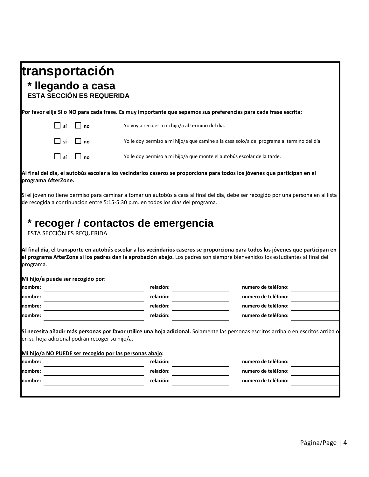## **transportación**

### **\* llegando a casa ESTA SECCIÓN ES REQUERIDA**

**Por favor elije SI o NO para cada frase. Es muy importante que sepamos sus preferencias para cada frase escrita:**

| $\Box$ sí $\Box$ no | Yo voy a recojer a mi hijo/a al termino del día.                                           |
|---------------------|--------------------------------------------------------------------------------------------|
| $\Box$ sí $\Box$ no | Yo le doy permiso a mi hijo/a que camine a la casa solo/a del programa al termino del día. |
| $\Box$ sí $\Box$ no | Yo le doy permiso a mi hijo/a que monte el autobús escolar de la tarde.                    |

#### **Al final del día, el autobús escolar a los vecindarios caseros se proporciona para todos los jóvenes que participan en el programa AfterZone.**

Si el joven no tiene permiso para caminar a tomar un autobús a casa al final del día, debe ser recogido por una persona en al lista de recogida a continuación entre 5:15-5:30 p.m. en todos los días del programa.

### **\* recoger / contactos de emergencia**

ESTA SECCIÓN ES REQUERIDA

**Al final día, el transporte en autobús escolar a los vecindarios caseros se proporciona para todos los jóvenes que participan en el programa AfterZone si los padres dan la aprobación abajo.** Los padres son siempre bienvenidos los estudiantes al final del programa.

| Mi hijo/a puede ser recogido por:                                                                                               |                                                                                                                                     |                     |  |
|---------------------------------------------------------------------------------------------------------------------------------|-------------------------------------------------------------------------------------------------------------------------------------|---------------------|--|
| nombre:                                                                                                                         | relación:                                                                                                                           | numero de teléfono: |  |
| Inombre:                                                                                                                        | relación:                                                                                                                           | numero de teléfono: |  |
| nombre:                                                                                                                         | relación:                                                                                                                           | numero de teléfono: |  |
| nombre:                                                                                                                         | relación:                                                                                                                           | numero de teléfono: |  |
|                                                                                                                                 | Si necesita añadir más personas por favor utilice una hoja adicional. Solamente las personas escritos arriba o en escritos arriba o |                     |  |
|                                                                                                                                 |                                                                                                                                     |                     |  |
|                                                                                                                                 | relación:                                                                                                                           | numero de teléfono: |  |
| en su hoja adicional podrán recoger su hijo/a.<br>Mi hijo/a NO PUEDE ser recogido por las personas abajo:<br>nombre:<br>nombre: | relación:                                                                                                                           | numero de teléfono: |  |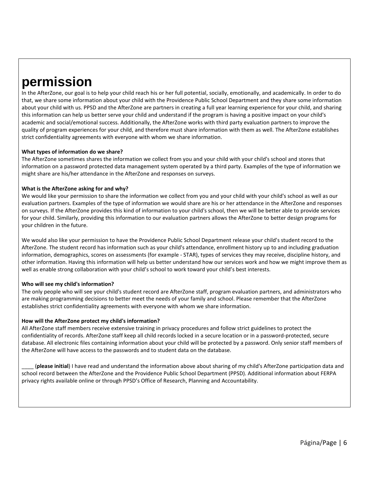## **permission**

In the AfterZone, our goal is to help your child reach his or her full potential, socially, emotionally, and academically. In order to do that, we share some information about your child with the Providence Public School Department and they share some information about your child with us. PPSD and the AfterZone are partners in creating a full year learning experience for your child, and sharing this information can help us better serve your child and understand if the program is having a positive impact on your child's academic and social/emotional success. Additionally, the AfterZone works with third party evaluation partners to improve the quality of program experiences for your child, and therefore must share information with them as well. The AfterZone establishes strict confidentiality agreements with everyone with whom we share information.

#### **What types of information do we share?**

The AfterZone sometimes shares the information we collect from you and your child with your child's school and stores that information on a password protected data management system operated by a third party. Examples of the type of information we might share are his/her attendance in the AfterZone and responses on surveys.

#### **What is the AfterZone asking for and why?**

We would like your permission to share the information we collect from you and your child with your child's school as well as our evaluation partners. Examples of the type of information we would share are his or her attendance in the AfterZone and responses on surveys. If the AfterZone provides this kind of information to your child's school, then we will be better able to provide services for your child. Similarly, providing this information to our evaluation partners allows the AfterZone to better design programs for your children in the future.

We would also like your permission to have the Providence Public School Department release your child's student record to the AfterZone. The student record has information such as your child's attendance, enrollment history up to and including graduation information, demographics, scores on assessments (for example - STAR), types of services they may receive, discipline history, and other information. Having this information will help us better understand how our services work and how we might improve them as well as enable strong collaboration with your child's school to work toward your child's best interests.

#### **Who will see my child's information?**

The only people who will see your child's student record are AfterZone staff, program evaluation partners, and administrators who are making programming decisions to better meet the needs of your family and school. Please remember that the AfterZone establishes strict confidentiality agreements with everyone with whom we share information.

#### **How will the AfterZone protect my child's information?**

All AfterZone staff members receive extensive training in privacy procedures and follow strict guidelines to protect the confidentiality of records. AfterZone staff keep all child records locked in a secure location or in a password-protected, secure database. All electronic files containing information about your child will be protected by a password. Only senior staff members of the AfterZone will have access to the passwords and to student data on the database.

\_\_\_\_ (**please initial**) I have read and understand the information above about sharing of my child's AfterZone participation data and school record between the AfterZone and the Providence Public School Department (PPSD). Additional information about FERPA privacy rights available online or through PPSD's Office of Research, Planning and Accountability.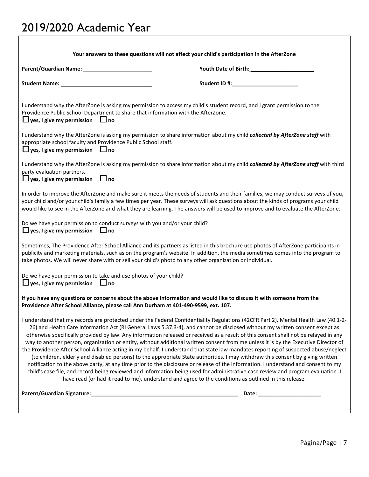### 2019/2020 Academic Year

|                                                                                                                                 | Your answers to these questions will not affect your child's participation in the AfterZone                                                                                                                                                                                                                                                                                                                                                                                                                                                                                                                                                                                                                                                                                                                                                                                                                                                                                                                                                                                                                                                                                                                     |
|---------------------------------------------------------------------------------------------------------------------------------|-----------------------------------------------------------------------------------------------------------------------------------------------------------------------------------------------------------------------------------------------------------------------------------------------------------------------------------------------------------------------------------------------------------------------------------------------------------------------------------------------------------------------------------------------------------------------------------------------------------------------------------------------------------------------------------------------------------------------------------------------------------------------------------------------------------------------------------------------------------------------------------------------------------------------------------------------------------------------------------------------------------------------------------------------------------------------------------------------------------------------------------------------------------------------------------------------------------------|
|                                                                                                                                 | Youth Date of Birth: Vouth Date of Birth:                                                                                                                                                                                                                                                                                                                                                                                                                                                                                                                                                                                                                                                                                                                                                                                                                                                                                                                                                                                                                                                                                                                                                                       |
| Student Name: Name and Student Name and Student Name and Student Assembly                                                       |                                                                                                                                                                                                                                                                                                                                                                                                                                                                                                                                                                                                                                                                                                                                                                                                                                                                                                                                                                                                                                                                                                                                                                                                                 |
| Providence Public School Department to share that information with the AfterZone.<br>$\Box$ yes, I give my permission $\Box$ no | I understand why the AfterZone is asking my permission to access my child's student record, and I grant permission to the                                                                                                                                                                                                                                                                                                                                                                                                                                                                                                                                                                                                                                                                                                                                                                                                                                                                                                                                                                                                                                                                                       |
| appropriate school faculty and Providence Public School staff.<br>$\Box$ yes, I give my permission $\Box$ no                    | I understand why the AfterZone is asking my permission to share information about my child collected by AfterZone staff with                                                                                                                                                                                                                                                                                                                                                                                                                                                                                                                                                                                                                                                                                                                                                                                                                                                                                                                                                                                                                                                                                    |
| party evaluation partners.<br>$\Box$ yes, I give my permission $\Box$ no                                                        | I understand why the AfterZone is asking my permission to share information about my child collected by AfterZone staff with third                                                                                                                                                                                                                                                                                                                                                                                                                                                                                                                                                                                                                                                                                                                                                                                                                                                                                                                                                                                                                                                                              |
|                                                                                                                                 | In order to improve the AfterZone and make sure it meets the needs of students and their families, we may conduct surveys of you,<br>your child and/or your child's family a few times per year. These surveys will ask questions about the kinds of programs your child<br>would like to see in the AfterZone and what they are learning. The answers will be used to improve and to evaluate the AfterZone.                                                                                                                                                                                                                                                                                                                                                                                                                                                                                                                                                                                                                                                                                                                                                                                                   |
| Do we have your permission to conduct surveys with you and/or your child?<br>$\Box$ yes, I give my permission $\Box$ no         |                                                                                                                                                                                                                                                                                                                                                                                                                                                                                                                                                                                                                                                                                                                                                                                                                                                                                                                                                                                                                                                                                                                                                                                                                 |
| take photos. We will never share with or sell your child's photo to any other organization or individual.                       | Sometimes, The Providence After School Alliance and its partners as listed in this brochure use photos of AfterZone participants in<br>publicity and marketing materials, such as on the program's website. In addition, the media sometimes comes into the program to                                                                                                                                                                                                                                                                                                                                                                                                                                                                                                                                                                                                                                                                                                                                                                                                                                                                                                                                          |
| Do we have your permission to take and use photos of your child?<br>$\Box$ yes, I give my permission $\Box$ no                  |                                                                                                                                                                                                                                                                                                                                                                                                                                                                                                                                                                                                                                                                                                                                                                                                                                                                                                                                                                                                                                                                                                                                                                                                                 |
| Providence After School Alliance, please call Ann Durham at 401-490-9599, ext. 107.                                             | If you have any questions or concerns about the above information and would like to discuss it with someone from the                                                                                                                                                                                                                                                                                                                                                                                                                                                                                                                                                                                                                                                                                                                                                                                                                                                                                                                                                                                                                                                                                            |
|                                                                                                                                 | I understand that my records are protected under the Federal Confidentiality Regulations (42CFR Part 2), Mental Health Law (40.1-2-<br>26) and Health Care Information Act (RI General Laws 5.37.3-4), and cannot be disclosed without my written consent except as<br>otherwise specifically provided by law. Any information released or received as a result of this consent shall not be relayed in any<br>way to another person, organization or entity, without additional written consent from me unless it is by the Executive Director of<br>the Providence After School Alliance acting in my behalf. I understand that state law mandates reporting of suspected abuse/neglect<br>(to children, elderly and disabled persons) to the appropriate State authorities. I may withdraw this consent by giving written<br>notification to the above party, at any time prior to the disclosure or release of the information. I understand and consent to my<br>child's case file, and record being reviewed and information being used for administrative case review and program evaluation. I<br>have read (or had it read to me), understand and agree to the conditions as outlined in this release. |
|                                                                                                                                 | Date: _______________________                                                                                                                                                                                                                                                                                                                                                                                                                                                                                                                                                                                                                                                                                                                                                                                                                                                                                                                                                                                                                                                                                                                                                                                   |
|                                                                                                                                 |                                                                                                                                                                                                                                                                                                                                                                                                                                                                                                                                                                                                                                                                                                                                                                                                                                                                                                                                                                                                                                                                                                                                                                                                                 |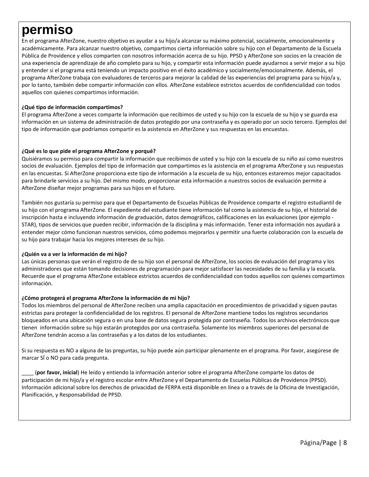## **permiso**

En el programa AfterZone, nuestro objetivo es ayudar a su hijo/a alcanzar su máximo potencial, socialmente, emocionalmente y académicamente. Para alcanzar nuestro objetivo, compartimos cierta información sobre su hijo con el Departamento de la Escuela Pública de Providence y ellos comparten con nosotros información acerca de su hijo. PPSD y AfterZone son socios en la creación de una experiencia de aprendizaje de año completo para su hijo, y compartir esta información puede ayudarnos a servir mejor a su hijo y entender si el programa está teniendo un impacto positivo en el éxito académico y socialmente/emocionalmente. Además, el programa AfterZone trabaja con evaluadores de terceros para mejorar la calidad de las experiencias del programa para su hijo/a y, por lo tanto, también debe compartir información con ellos. AfterZone establece estrictos acuerdos de confidencialidad con todos aquellos con quienes compartimos información.

#### **¿Qué tipo de información compartimos?**

El programa AfterZone a veces comparte la información que recibimos de usted y su hijo con la escuela de su hijo y se guarda esa información en un sistema de administración de datos protegido por una contraseña y es operado por un socio tercero. Ejemplos del tipo de información que podríamos compartir es la asistencia en AfterZone y sus respuestas en las encuestas.

#### **¿Qué es lo que pide el programa AfterZone y porqué?**

Quisiéramos su permiso para compartir la información que recibimos de usted y su hijo con la escuela de su niño así como nuestros socios de evaluación. Ejemplos del tipo de información que compartimos es la asistencia en el programa AfterZone y sus respuestas en las encuestas. Si AfterZone proporciona este tipo de información a la escuela de su hijo, entonces estaremos mejor capacitados para brindarle servicios a su hijo. Del mismo modo, proporcionar esta información a nuestros socios de evaluación permite a AfterZone diseñar mejor programas para sus hijos en el futuro.

También nos gustaría su permiso para que el Departamento de Escuelas Públicas de Providence comparte el registro estudiantil de su hijo con el programa AfterZone. El expediente del estudiante tiene información tal como la asistencia de su hijo, el historial de inscripción hasta e incluyendo información de graduación, datos demográficos, calificaciones en las evaluaciones (por ejemplo - STAR), tipos de servicios que pueden recibir, información de la disciplina y más información. Tener esta información nos ayudará a entender mejor cómo funcionan nuestros servicios, cómo podemos mejorarlos y permitir una fuerte colaboración con la escuela de su hijo para trabajar hacia los mejores intereses de su hijo.

#### **¿Quién va a ver la información de mi hijo?**

Las únicas personas que verán el registro de de su hijo son el personal de AfterZone, los socios de evaluación del programa y los administradores que están tomando decisiones de programación para mejor satisfacer las necesidades de su familia y la escuela. Recuerde que el programa AfterZone establece estrictos acuerdos de confidencialidad con todos aquellos con quienes compartimos información.

#### **¿Cómo protegerá el programa AfterZone la información de mi hijo?**

Todos los miembros del personal de AfterZone reciben una amplia capacitación en procedimientos de privacidad y siguen pautas estrictas para proteger la confidencialidad de los registros. El personal de AfterZone mantiene todos los registros secundarios bloqueados en una ubicación segura o en una base de datos segura protegida por contraseña. Todos los archivos electrónicos que tienen información sobre su hijo estarán protegidos por una contraseña. Solamente los miembros superiores del personal de AfterZone tendrán acceso a las contraseñas y a los datos de los estudiantes.

Si su respuesta es NO a alguna de las preguntas, su hijo puede aún participar plenamente en el programa. Por favor, asegúrese de marcar SÍ o NO para cada pregunta.

\_\_\_\_ (**por favor, inicial**) He leído y entiendo la información anterior sobre el programa AfterZone comparte los datos de participación de mi hijo/a y el registro escolar entre AfterZone y el Departamento de Escuelas Públicas de Providence (PPSD). Información adicional sobre los derechos de privacidad de FERPA está disponible en línea o a través de la Oficina de Investigación, Planificación, y Responsabilidad de PPSD.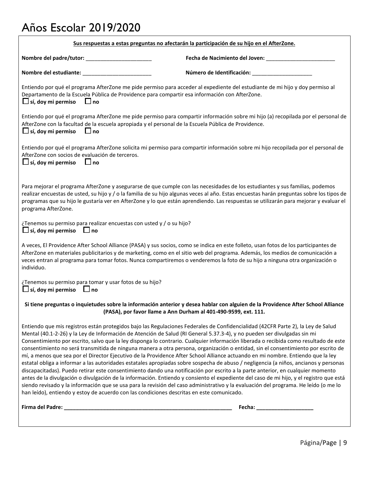### Años Escolar 2019/2020

|                                                                                                                                                                                                                                                                                                                                                                                                                                                                                                                                                                                                                                                                                                                                                                                                                                                                                                              | Sus respuestas a estas preguntas no afectarán la participación de su hijo en el AfterZone.                                                                                                                                                                                                                                                                                                                              |
|--------------------------------------------------------------------------------------------------------------------------------------------------------------------------------------------------------------------------------------------------------------------------------------------------------------------------------------------------------------------------------------------------------------------------------------------------------------------------------------------------------------------------------------------------------------------------------------------------------------------------------------------------------------------------------------------------------------------------------------------------------------------------------------------------------------------------------------------------------------------------------------------------------------|-------------------------------------------------------------------------------------------------------------------------------------------------------------------------------------------------------------------------------------------------------------------------------------------------------------------------------------------------------------------------------------------------------------------------|
|                                                                                                                                                                                                                                                                                                                                                                                                                                                                                                                                                                                                                                                                                                                                                                                                                                                                                                              |                                                                                                                                                                                                                                                                                                                                                                                                                         |
|                                                                                                                                                                                                                                                                                                                                                                                                                                                                                                                                                                                                                                                                                                                                                                                                                                                                                                              |                                                                                                                                                                                                                                                                                                                                                                                                                         |
| Entiendo por qué el programa AfterZone me pide permiso para acceder al expediente del estudiante de mi hijo y doy permiso al<br>Departamento de la Escuela Pública de Providence para compartir esa información con AfterZone.<br>$\Box$ sí, doy mi permiso<br>$\Box$ no                                                                                                                                                                                                                                                                                                                                                                                                                                                                                                                                                                                                                                     |                                                                                                                                                                                                                                                                                                                                                                                                                         |
| AfterZone con la facultad de la escuela apropiada y el personal de la Escuela Pública de Providence.<br>$\Box$ sí, doy mi permiso $\Box$ no                                                                                                                                                                                                                                                                                                                                                                                                                                                                                                                                                                                                                                                                                                                                                                  | Entiendo por qué el programa AfterZone me pide permiso para compartir información sobre mi hijo (a) recopilada por el personal de                                                                                                                                                                                                                                                                                       |
| Entiendo por qué el programa AfterZone solicita mi permiso para compartir información sobre mi hijo recopilada por el personal de<br>AfterZone con socios de evaluación de terceros.<br>$\Box$ no<br>$\Box$ sí, doy mi permiso                                                                                                                                                                                                                                                                                                                                                                                                                                                                                                                                                                                                                                                                               |                                                                                                                                                                                                                                                                                                                                                                                                                         |
| Para mejorar el programa AfterZone y asegurarse de que cumple con las necesidades de los estudiantes y sus familias, podemos<br>programa AfterZone.                                                                                                                                                                                                                                                                                                                                                                                                                                                                                                                                                                                                                                                                                                                                                          | realizar encuestas de usted, su hijo y / o la familia de su hijo algunas veces al año. Estas encuestas harán preguntas sobre los tipos de<br>programas que su hijo le gustaría ver en AfterZone y lo que están aprendiendo. Las respuestas se utilizarán para mejorar y evaluar el                                                                                                                                      |
| ¿Tenemos su permiso para realizar encuestas con usted y / o su hijo?<br>$\Box$ sí, doy mi permiso $\Box$ no                                                                                                                                                                                                                                                                                                                                                                                                                                                                                                                                                                                                                                                                                                                                                                                                  |                                                                                                                                                                                                                                                                                                                                                                                                                         |
| A veces, El Providence After School Alliance (PASA) y sus socios, como se indica en este folleto, usan fotos de los participantes de<br>AfterZone en materiales publicitarios y de marketing, como en el sitio web del programa. Además, los medios de comunicación a<br>veces entran al programa para tomar fotos. Nunca compartiremos o venderemos la foto de su hijo a ninguna otra organización o<br>individuo.                                                                                                                                                                                                                                                                                                                                                                                                                                                                                          |                                                                                                                                                                                                                                                                                                                                                                                                                         |
| ¿Tenemos su permiso para tomar y usar fotos de su hijo?<br>$\Box$ sí, doy mi permiso $\Box$ no                                                                                                                                                                                                                                                                                                                                                                                                                                                                                                                                                                                                                                                                                                                                                                                                               |                                                                                                                                                                                                                                                                                                                                                                                                                         |
|                                                                                                                                                                                                                                                                                                                                                                                                                                                                                                                                                                                                                                                                                                                                                                                                                                                                                                              | Si tiene preguntas o inquietudes sobre la información anterior y desea hablar con alguien de la Providence After School Alliance<br>(PASA), por favor llame a Ann Durham al 401-490-9599, ext. 111.                                                                                                                                                                                                                     |
| Entiendo que mis registros están protegidos bajo las Regulaciones Federales de Confidencialidad (42CFR Parte 2), la Ley de Salud<br>Mental (40.1-2-26) y la Ley de Información de Atención de Salud (RI General 5.37.3-4), y no pueden ser divulgadas sin mi<br>consentimiento no será transmitida de ninguna manera a otra persona, organización o entidad, sin el consentimiento por escrito de<br>mí, a menos que sea por el Director Ejecutivo de la Providence After School Alliance actuando en mi nombre. Entiendo que la ley<br>discapacitadas). Puedo retirar este consentimiento dando una notificación por escrito a la parte anterior, en cualquier momento<br>siendo revisado y la información que se usa para la revisión del caso administrativo y la evaluación del programa. He leído (o me lo<br>han leído), entiendo y estoy de acuerdo con las condiciones descritas en este comunicado. | Consentimiento por escrito, salvo que la ley disponga lo contrario. Cualquier información liberada o recibida como resultado de este<br>estatal obliga a informar a las autoridades estatales apropiadas sobre sospecha de abuso / negligencia (a niños, ancianos y personas<br>antes de la divulgación o divulgación de la información. Entiendo y consiento el expediente del caso de mi hijo, y el registro que está |
|                                                                                                                                                                                                                                                                                                                                                                                                                                                                                                                                                                                                                                                                                                                                                                                                                                                                                                              | Fecha: _____________________                                                                                                                                                                                                                                                                                                                                                                                            |
|                                                                                                                                                                                                                                                                                                                                                                                                                                                                                                                                                                                                                                                                                                                                                                                                                                                                                                              |                                                                                                                                                                                                                                                                                                                                                                                                                         |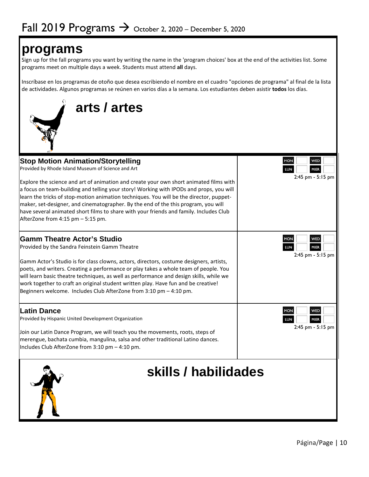### **programs**

Sign up for the fall programs you want by writing the name in the 'program choices' box at the end of the activities list. Some programs meet on multiple days a week. Students must attend **all** days.

Inscríbase en los programas de otoño que desea escribiendo el nombre en el cuadro "opciones de programa" al final de la lista de actividades. Algunos programas se reúnen en varios días a la semana. Los estudiantes deben asistir **todos** los días.

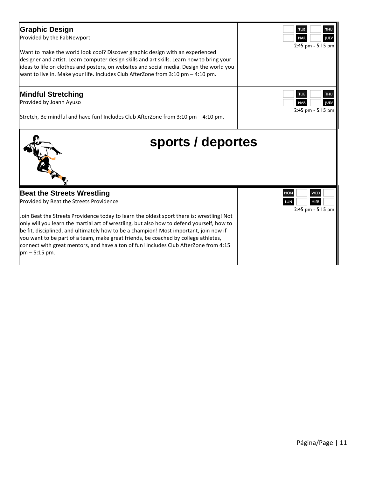| <b>Graphic Design</b><br>Provided by the FabNewport                                                                                                                                                                                                                                                                                                        | <b>TUE</b><br>THL<br><b>MAR</b><br><b>IUEV</b><br>2:45 pm - 5:15 pm |
|------------------------------------------------------------------------------------------------------------------------------------------------------------------------------------------------------------------------------------------------------------------------------------------------------------------------------------------------------------|---------------------------------------------------------------------|
| Want to make the world look cool? Discover graphic design with an experienced<br>designer and artist. Learn computer design skills and art skills. Learn how to bring your<br>ideas to life on clothes and posters, on websites and social media. Design the world you<br>want to live in. Make your life. Includes Club AfterZone from 3:10 pm - 4:10 pm. |                                                                     |
| <b>Mindful Stretching</b><br>Provided by Joann Ayuso                                                                                                                                                                                                                                                                                                       | <b>TUE</b><br>тни<br><b>MAR</b><br><b>IUEV</b><br>2:45 pm - 5:15 pm |
| Stretch, Be mindful and have fun! Includes Club AfterZone from 3:10 pm – 4:10 pm.                                                                                                                                                                                                                                                                          |                                                                     |
| sports / deportes                                                                                                                                                                                                                                                                                                                                          |                                                                     |
|                                                                                                                                                                                                                                                                                                                                                            |                                                                     |
| <b>Beat the Streets Wrestling</b><br>Provided by Beat the Streets Providence                                                                                                                                                                                                                                                                               | <b>MON</b><br><b>WED</b><br><b>MIER</b><br>LUN<br>2:45 pm - 5:15 pm |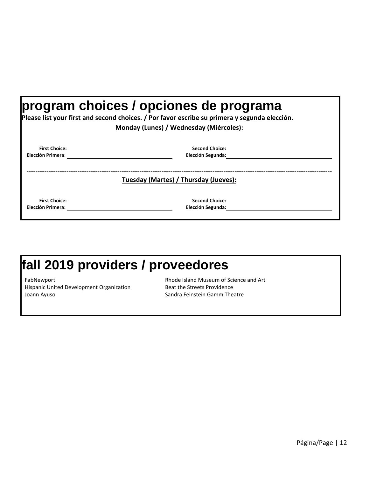|                                           | program choices / opciones de programa<br>Please list your first and second choices. / Por favor escribe su primera y segunda elección.<br>Monday (Lunes) / Wednesday (Miércoles): |  |
|-------------------------------------------|------------------------------------------------------------------------------------------------------------------------------------------------------------------------------------|--|
| <b>First Choice:</b><br>Elección Primera: | <b>Second Choice:</b><br>Elección Segunda:                                                                                                                                         |  |
|                                           | Tuesday (Martes) / Thursday (Jueves):                                                                                                                                              |  |
| <b>First Choice:</b><br>Elección Primera: | <b>Second Choice:</b><br>Elección Segunda:                                                                                                                                         |  |

## **fall 2019 providers / proveedores**

FabNewport **FabNewport Rhode Island Museum of Science and Art** Hispanic United Development Organization Beat the Streets Providence Joann Ayuso **Sandra Feinstein Gamm Theatre** Sandra Feinstein Gamm Theatre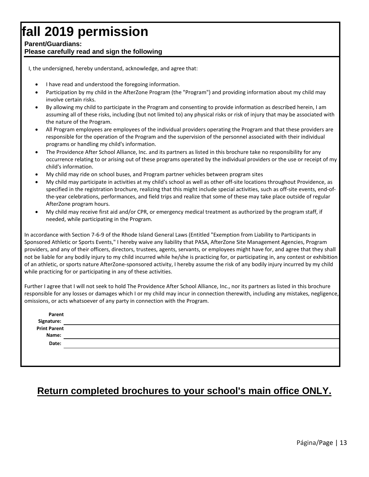## **fall 2019 permission**

**Parent/Guardians:** 

#### **Please carefully read and sign the following**

I, the undersigned, hereby understand, acknowledge, and agree that:

- I have read and understood the foregoing information.
- Participation by my child in the AfterZone Program (the "Program") and providing information about my child may involve certain risks.
- By allowing my child to participate in the Program and consenting to provide information as described herein, I am assuming all of these risks, including (but not limited to) any physical risks or risk of injury that may be associated with the nature of the Program.
- All Program employees are employees of the individual providers operating the Program and that these providers are responsible for the operation of the Program and the supervision of the personnel associated with their individual programs or handling my child's information.
- The Providence After School Alliance, Inc. and its partners as listed in this brochure take no responsibility for any occurrence relating to or arising out of these programs operated by the individual providers or the use or receipt of my child's information.
- My child may ride on school buses, and Program partner vehicles between program sites
- My child may participate in activities at my child's school as well as other off-site locations throughout Providence, as specified in the registration brochure, realizing that this might include special activities, such as off-site events, end-ofthe-year celebrations, performances, and field trips and realize that some of these may take place outside of regular AfterZone program hours.
- My child may receive first aid and/or CPR, or emergency medical treatment as authorized by the program staff, if needed, while participating in the Program.

In accordance with Section 7-6-9 of the Rhode Island General Laws (Entitled "Exemption from Liability to Participants in Sponsored Athletic or Sports Events," I hereby waive any liability that PASA, AfterZone Site Management Agencies, Program providers, and any of their officers, directors, trustees, agents, servants, or employees might have for, and agree that they shall not be liable for any bodily injury to my child incurred while he/she is practicing for, or participating in, any contest or exhibition of an athletic, or sports nature AfterZone-sponsored activity, I hereby assume the risk of any bodily injury incurred by my child while practicing for or participating in any of these activities.

Further I agree that I will not seek to hold The Providence After School Alliance, Inc., nor its partners as listed in this brochure responsible for any losses or damages which I or my child may incur in connection therewith, including any mistakes, negligence, omissions, or acts whatsoever of any party in connection with the Program.

| Parent                     |  |
|----------------------------|--|
| Signature:<br>Print Parent |  |
|                            |  |
| Name:                      |  |
| Date:                      |  |
|                            |  |
|                            |  |

### **Return completed brochures to your school's main office ONLY.**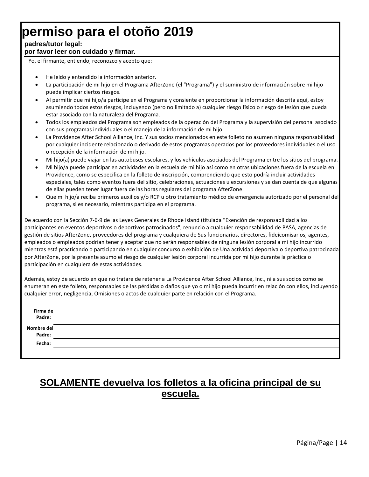## **permiso para el otoño 2019**

#### **padres/tutor legal:**

#### **por favor leer con cuidado y firmar.**

Yo, el firmante, entiendo, reconozco y acepto que:

- He leído y entendido la información anterior.
- La participación de mi hijo en el Programa AfterZone (el "Programa") y el suministro de información sobre mi hijo puede implicar ciertos riesgos.
- Al permitir que mi hijo/a participe en el Programa y consiente en proporcionar la información descrita aquí, estoy asumiendo todos estos riesgos, incluyendo (pero no limitado a) cualquier riesgo físico o riesgo de lesión que pueda estar asociado con la naturaleza del Programa.
- Todos los empleados del Programa son empleados de la operación del Programa y la supervisión del personal asociado con sus programas individuales o el manejo de la información de mi hijo.
- La Providence After School Alliance, Inc. Y sus socios mencionados en este folleto no asumen ninguna responsabilidad por cualquier incidente relacionado o derivado de estos programas operados por los proveedores individuales o el uso o recepción de la información de mi hijo.
- Mi hijo(a) puede viajar en las autobuses escolares, y los vehículos asociados del Programa entre los sitios del programa.
- Mi hijo/a puede participar en actividades en la escuela de mi hijo así como en otras ubicaciones fuera de la escuela en Providence, como se especifica en la folleto de inscripción, comprendiendo que esto podría incluir actividades especiales, tales como eventos fuera del sitio, celebraciones, actuaciones u excursiones y se dan cuenta de que algunas de ellas pueden tener lugar fuera de las horas regulares del programa AfterZone.
- Que mi hijo/a reciba primeros auxilios y/o RCP u otro tratamiento médico de emergencia autorizado por el personal del programa, si es necesario, mientras participa en el programa.

De acuerdo con la Sección 7-6-9 de las Leyes Generales de Rhode Island (titulada "Exención de responsabilidad a los participantes en eventos deportivos o deportivos patrocinados", renuncio a cualquier responsabilidad de PASA, agencias de gestión de sitios AfterZone, proveedores del programa y cualquiera de Sus funcionarios, directores, fideicomisarios, agentes, empleados o empleados podrían tener y aceptar que no serán responsables de ninguna lesión corporal a mi hijo incurrido mientras está practicando o participando en cualquier concurso o exhibición de Una actividad deportiva o deportiva patrocinada por AfterZone, por la presente asumo el riesgo de cualquier lesión corporal incurrida por mi hijo durante la práctica o participación en cualquiera de estas actividades.

Además, estoy de acuerdo en que no trataré de retener a La Providence After School Alliance, Inc., ni a sus socios como se enumeran en este folleto, responsables de las pérdidas o daños que yo o mi hijo pueda incurrir en relación con ellos, incluyendo cualquier error, negligencia, Omisiones o actos de cualquier parte en relación con el Programa.

| Firma de<br>Padre:   |  |
|----------------------|--|
| Nombre del<br>Padre: |  |
| Fecha:               |  |
|                      |  |

### **SOLAMENTE devuelva los folletos a la oficina principal de su escuela.**